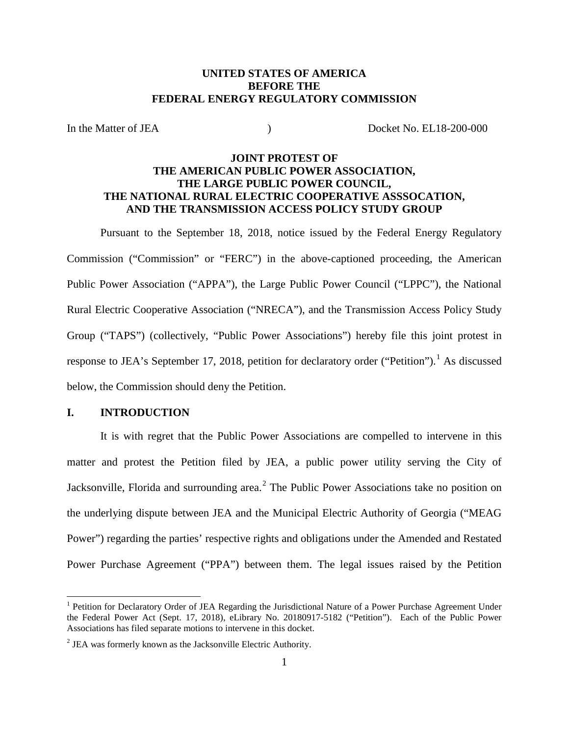# **UNITED STATES OF AMERICA BEFORE THE FEDERAL ENERGY REGULATORY COMMISSION**

In the Matter of JEA (a) (b) Docket No. EL18-200-000

# **JOINT PROTEST OF THE AMERICAN PUBLIC POWER ASSOCIATION, THE LARGE PUBLIC POWER COUNCIL, THE NATIONAL RURAL ELECTRIC COOPERATIVE ASSSOCATION, AND THE TRANSMISSION ACCESS POLICY STUDY GROUP**

Pursuant to the September 18, 2018, notice issued by the Federal Energy Regulatory Commission ("Commission" or "FERC") in the above-captioned proceeding, the American Public Power Association ("APPA"), the Large Public Power Council ("LPPC"), the National Rural Electric Cooperative Association ("NRECA"), and the Transmission Access Policy Study Group ("TAPS") (collectively, "Public Power Associations") hereby file this joint protest in response to JEA's September 17, 2018, petition for declaratory order ("Petition").<sup>1</sup> As discussed below, the Commission should deny the Petition.

#### **I. INTRODUCTION**

It is with regret that the Public Power Associations are compelled to intervene in this matter and protest the Petition filed by JEA, a public power utility serving the City of Jacksonville, Florida and surrounding area.<sup>2</sup> The Public Power Associations take no position on the underlying dispute between JEA and the Municipal Electric Authority of Georgia ("MEAG Power") regarding the parties' respective rights and obligations under the Amended and Restated Power Purchase Agreement ("PPA") between them. The legal issues raised by the Petition

<sup>&</sup>lt;sup>1</sup> Petition for Declaratory Order of JEA Regarding the Jurisdictional Nature of a Power Purchase Agreement Under the Federal Power Act (Sept. 17, 2018), eLibrary No. 20180917-5182 ("Petition"). Each of the Public Power Associations has filed separate motions to intervene in this docket.

<sup>2</sup> JEA was formerly known as the Jacksonville Electric Authority.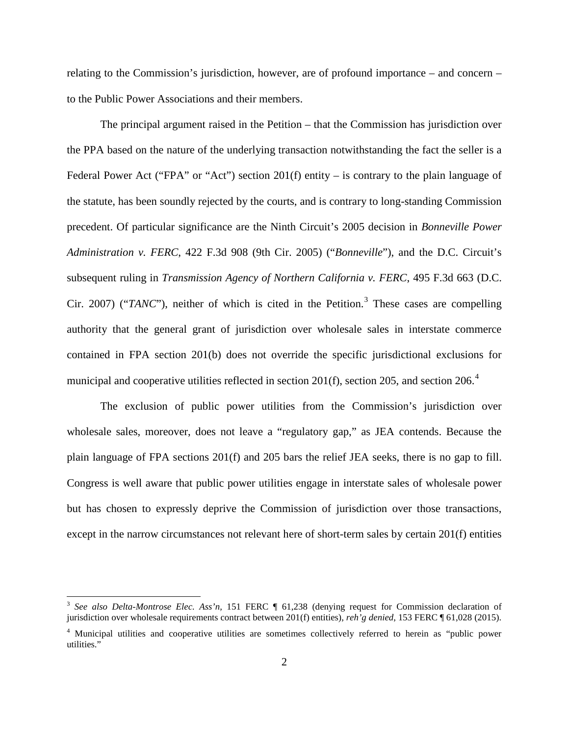relating to the Commission's jurisdiction, however, are of profound importance – and concern – to the Public Power Associations and their members.

The principal argument raised in the Petition – that the Commission has jurisdiction over the PPA based on the nature of the underlying transaction notwithstanding the fact the seller is a Federal Power Act ("FPA" or "Act") section 201(f) entity – is contrary to the plain language of the statute, has been soundly rejected by the courts, and is contrary to long-standing Commission precedent. Of particular significance are the Ninth Circuit's 2005 decision in *Bonneville Power Administration v. FERC*, 422 F.3d 908 (9th Cir. 2005) ("*Bonneville*"), and the D.C. Circuit's subsequent ruling in *Transmission Agency of Northern California v. FERC*, 495 F.3d 663 (D.C. Cir. 2007) (" $TANC$ "), neither of which is cited in the Petition.<sup>3</sup> These cases are compelling authority that the general grant of jurisdiction over wholesale sales in interstate commerce contained in FPA section 201(b) does not override the specific jurisdictional exclusions for municipal and cooperative utilities reflected in section 201(f), section 205, and section 206.<sup>4</sup>

The exclusion of public power utilities from the Commission's jurisdiction over wholesale sales, moreover, does not leave a "regulatory gap," as JEA contends. Because the plain language of FPA sections 201(f) and 205 bars the relief JEA seeks, there is no gap to fill. Congress is well aware that public power utilities engage in interstate sales of wholesale power but has chosen to expressly deprive the Commission of jurisdiction over those transactions, except in the narrow circumstances not relevant here of short-term sales by certain 201(f) entities

<sup>3</sup> *See also Delta-Montrose Elec. Ass'n,* 151 FERC ¶ 61,238 (denying request for Commission declaration of jurisdiction over wholesale requirements contract between 201(f) entities), *reh'g denied*, 153 FERC ¶ 61,028 (2015).

<sup>4</sup> Municipal utilities and cooperative utilities are sometimes collectively referred to herein as "public power utilities."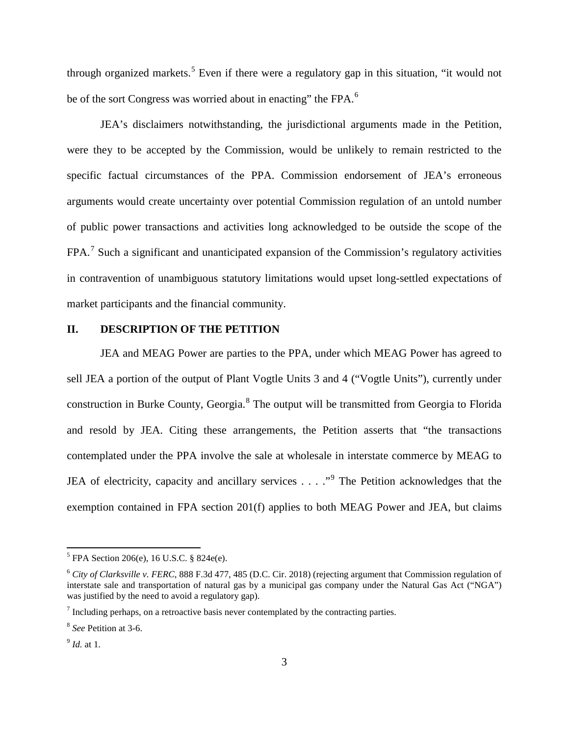through organized markets.<sup>5</sup> Even if there were a regulatory gap in this situation, "it would not be of the sort Congress was worried about in enacting" the FPA.<sup>6</sup>

JEA's disclaimers notwithstanding, the jurisdictional arguments made in the Petition, were they to be accepted by the Commission, would be unlikely to remain restricted to the specific factual circumstances of the PPA. Commission endorsement of JEA's erroneous arguments would create uncertainty over potential Commission regulation of an untold number of public power transactions and activities long acknowledged to be outside the scope of the FPA.<sup>7</sup> Such a significant and unanticipated expansion of the Commission's regulatory activities in contravention of unambiguous statutory limitations would upset long-settled expectations of market participants and the financial community.

### **II. DESCRIPTION OF THE PETITION**

JEA and MEAG Power are parties to the PPA, under which MEAG Power has agreed to sell JEA a portion of the output of Plant Vogtle Units 3 and 4 ("Vogtle Units"), currently under construction in Burke County, Georgia.<sup>8</sup> The output will be transmitted from Georgia to Florida and resold by JEA. Citing these arrangements, the Petition asserts that "the transactions contemplated under the PPA involve the sale at wholesale in interstate commerce by MEAG to JEA of electricity, capacity and ancillary services  $\ldots$  ."<sup>9</sup> The Petition acknowledges that the exemption contained in FPA section 201(f) applies to both MEAG Power and JEA, but claims

 $5$  FPA Section 206(e), 16 U.S.C. § 824e(e).

<sup>6</sup> *City of Clarksville v. FERC*, 888 F.3d 477, 485 (D.C. Cir. 2018) (rejecting argument that Commission regulation of interstate sale and transportation of natural gas by a municipal gas company under the Natural Gas Act ("NGA") was justified by the need to avoid a regulatory gap).

 $<sup>7</sup>$  Including perhaps, on a retroactive basis never contemplated by the contracting parties.</sup>

<sup>8</sup> *See* Petition at 3-6.

<sup>9</sup> *Id.* at 1.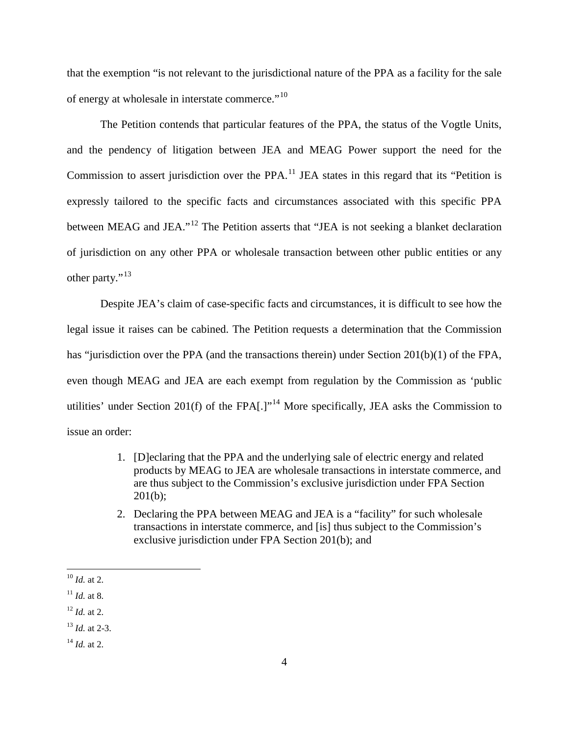that the exemption "is not relevant to the jurisdictional nature of the PPA as a facility for the sale of energy at wholesale in interstate commerce."<sup>10</sup>

The Petition contends that particular features of the PPA, the status of the Vogtle Units, and the pendency of litigation between JEA and MEAG Power support the need for the Commission to assert jurisdiction over the PPA.<sup>11</sup> JEA states in this regard that its "Petition is expressly tailored to the specific facts and circumstances associated with this specific PPA between MEAG and JEA."<sup>12</sup> The Petition asserts that "JEA is not seeking a blanket declaration of jurisdiction on any other PPA or wholesale transaction between other public entities or any other party."<sup>13</sup>

Despite JEA's claim of case-specific facts and circumstances, it is difficult to see how the legal issue it raises can be cabined. The Petition requests a determination that the Commission has "jurisdiction over the PPA (and the transactions therein) under Section 201(b)(1) of the FPA, even though MEAG and JEA are each exempt from regulation by the Commission as 'public utilities' under Section 201(f) of the FPA $[.]$ <sup>14</sup> More specifically, JEA asks the Commission to issue an order:

- 1. [D]eclaring that the PPA and the underlying sale of electric energy and related products by MEAG to JEA are wholesale transactions in interstate commerce, and are thus subject to the Commission's exclusive jurisdiction under FPA Section 201(b);
- 2. Declaring the PPA between MEAG and JEA is a "facility" for such wholesale transactions in interstate commerce, and [is] thus subject to the Commission's exclusive jurisdiction under FPA Section 201(b); and

 $10 \; Id.$  at 2.

 $11$  *Id.* at 8.

<sup>12</sup> *Id.* at 2.

<sup>13</sup> *Id.* at 2-3.

 $14$  *Id.* at 2.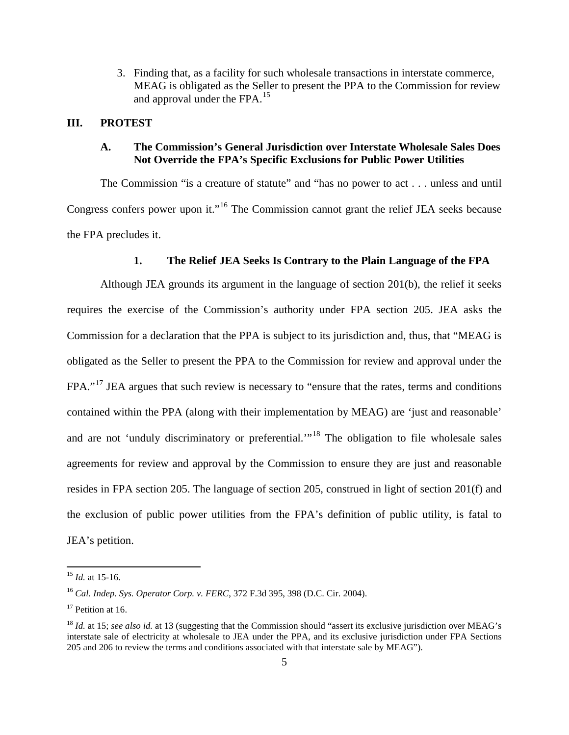3. Finding that, as a facility for such wholesale transactions in interstate commerce, MEAG is obligated as the Seller to present the PPA to the Commission for review and approval under the FPA.<sup>15</sup>

### **III. PROTEST**

# **A. The Commission's General Jurisdiction over Interstate Wholesale Sales Does Not Override the FPA's Specific Exclusions for Public Power Utilities**

The Commission "is a creature of statute" and "has no power to act . . . unless and until Congress confers power upon it."<sup>16</sup> The Commission cannot grant the relief JEA seeks because the FPA precludes it.

#### **1. The Relief JEA Seeks Is Contrary to the Plain Language of the FPA**

Although JEA grounds its argument in the language of section 201(b), the relief it seeks requires the exercise of the Commission's authority under FPA section 205. JEA asks the Commission for a declaration that the PPA is subject to its jurisdiction and, thus, that "MEAG is obligated as the Seller to present the PPA to the Commission for review and approval under the FPA."<sup>17</sup> JEA argues that such review is necessary to "ensure that the rates, terms and conditions" contained within the PPA (along with their implementation by MEAG) are 'just and reasonable' and are not 'unduly discriminatory or preferential.'"<sup>18</sup> The obligation to file wholesale sales agreements for review and approval by the Commission to ensure they are just and reasonable resides in FPA section 205. The language of section 205, construed in light of section 201(f) and the exclusion of public power utilities from the FPA's definition of public utility, is fatal to JEA's petition.

<sup>15</sup> *Id.* at 15-16.

<sup>16</sup> *Cal. Indep. Sys. Operator Corp. v. FERC*, 372 F.3d 395, 398 (D.C. Cir. 2004).

 $17$  Petition at 16.

<sup>&</sup>lt;sup>18</sup> *Id.* at 15; see also id. at 13 (suggesting that the Commission should "assert its exclusive jurisdiction over MEAG's interstate sale of electricity at wholesale to JEA under the PPA, and its exclusive jurisdiction under FPA Sections 205 and 206 to review the terms and conditions associated with that interstate sale by MEAG").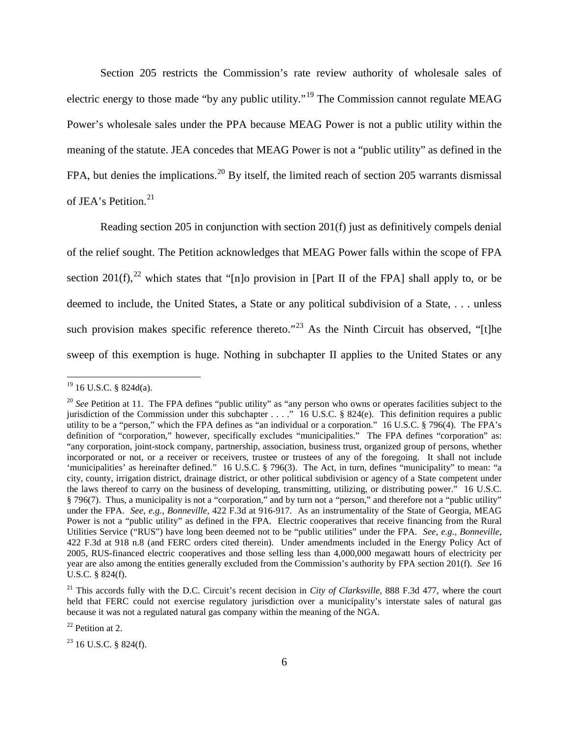Section 205 restricts the Commission's rate review authority of wholesale sales of electric energy to those made "by any public utility."<sup>19</sup> The Commission cannot regulate MEAG Power's wholesale sales under the PPA because MEAG Power is not a public utility within the meaning of the statute. JEA concedes that MEAG Power is not a "public utility" as defined in the FPA, but denies the implications.<sup>20</sup> By itself, the limited reach of section 205 warrants dismissal of JEA's Petition.<sup>21</sup>

Reading section 205 in conjunction with section 201(f) just as definitively compels denial of the relief sought. The Petition acknowledges that MEAG Power falls within the scope of FPA section 201(f),<sup>22</sup> which states that "[n]o provision in [Part II of the FPA] shall apply to, or be deemed to include, the United States, a State or any political subdivision of a State, . . . unless such provision makes specific reference thereto."<sup>23</sup> As the Ninth Circuit has observed. "It the sweep of this exemption is huge. Nothing in subchapter II applies to the United States or any

 $22$  Petition at 2.

 $19$  16 U.S.C. § 824d(a).

<sup>&</sup>lt;sup>20</sup> See Petition at 11. The FPA defines "public utility" as "any person who owns or operates facilities subject to the jurisdiction of the Commission under this subchapter . . . ." 16 U.S.C. § 824(e). This definition requires a public utility to be a "person," which the FPA defines as "an individual or a corporation." 16 U.S.C. § 796(4). The FPA's definition of "corporation," however, specifically excludes "municipalities." The FPA defines "corporation" as: "any corporation, joint-stock company, partnership, association, business trust, organized group of persons, whether incorporated or not, or a receiver or receivers, trustee or trustees of any of the foregoing. It shall not include 'municipalities' as hereinafter defined." 16 U.S.C. § 796(3). The Act, in turn, defines "municipality" to mean: "a city, county, irrigation district, drainage district, or other political subdivision or agency of a State competent under the laws thereof to carry on the business of developing, transmitting, utilizing, or distributing power." 16 U.S.C. § 796(7). Thus, a municipality is not a "corporation," and by turn not a "person," and therefore not a "public utility" under the FPA. *See, e.g., Bonneville*, 422 F.3d at 916-917. As an instrumentality of the State of Georgia, MEAG Power is not a "public utility" as defined in the FPA. Electric cooperatives that receive financing from the Rural Utilities Service ("RUS") have long been deemed not to be "public utilities" under the FPA. *See, e.g., Bonneville*, 422 F.3d at 918 n.8 (and FERC orders cited therein). Under amendments included in the Energy Policy Act of 2005, RUS-financed electric cooperatives and those selling less than 4,000,000 megawatt hours of electricity per year are also among the entities generally excluded from the Commission's authority by FPA section 201(f). *See* 16 U.S.C. § 824(f).

<sup>&</sup>lt;sup>21</sup> This accords fully with the D.C. Circuit's recent decision in *City of Clarksville*, 888 F.3d 477, where the court held that FERC could not exercise regulatory jurisdiction over a municipality's interstate sales of natural gas because it was not a regulated natural gas company within the meaning of the NGA.

 $23$  16 U.S.C. § 824(f).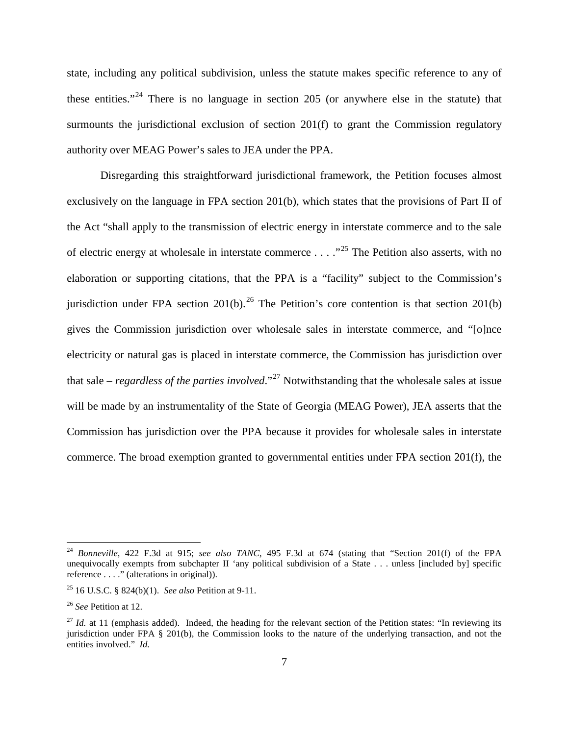state, including any political subdivision, unless the statute makes specific reference to any of these entities."<sup>24</sup> There is no language in section 205 (or anywhere else in the statute) that surmounts the jurisdictional exclusion of section 201(f) to grant the Commission regulatory authority over MEAG Power's sales to JEA under the PPA.

Disregarding this straightforward jurisdictional framework, the Petition focuses almost exclusively on the language in FPA section 201(b), which states that the provisions of Part II of the Act "shall apply to the transmission of electric energy in interstate commerce and to the sale of electric energy at wholesale in interstate commerce  $\dots$   $\cdot$   $\cdot$ <sup>25</sup>. The Petition also asserts, with no elaboration or supporting citations, that the PPA is a "facility" subject to the Commission's jurisdiction under FPA section 201(b).<sup>26</sup> The Petition's core contention is that section 201(b) gives the Commission jurisdiction over wholesale sales in interstate commerce, and "[o]nce electricity or natural gas is placed in interstate commerce, the Commission has jurisdiction over that sale – *regardless of the parties involved*."<sup>27</sup> Notwithstanding that the wholesale sales at issue will be made by an instrumentality of the State of Georgia (MEAG Power), JEA asserts that the Commission has jurisdiction over the PPA because it provides for wholesale sales in interstate commerce. The broad exemption granted to governmental entities under FPA section 201(f), the

<sup>24</sup> *Bonneville*, 422 F.3d at 915; *see also TANC*, 495 F.3d at 674 (stating that "Section 201(f) of the FPA unequivocally exempts from subchapter II 'any political subdivision of a State . . . unless [included by] specific reference . . . ." (alterations in original)).

<sup>25</sup> 16 U.S.C. § 824(b)(1). *See also* Petition at 9-11.

<sup>26</sup> *See* Petition at 12.

 $27$  *Id.* at 11 (emphasis added). Indeed, the heading for the relevant section of the Petition states: "In reviewing its jurisdiction under FPA § 201(b), the Commission looks to the nature of the underlying transaction, and not the entities involved." *Id.*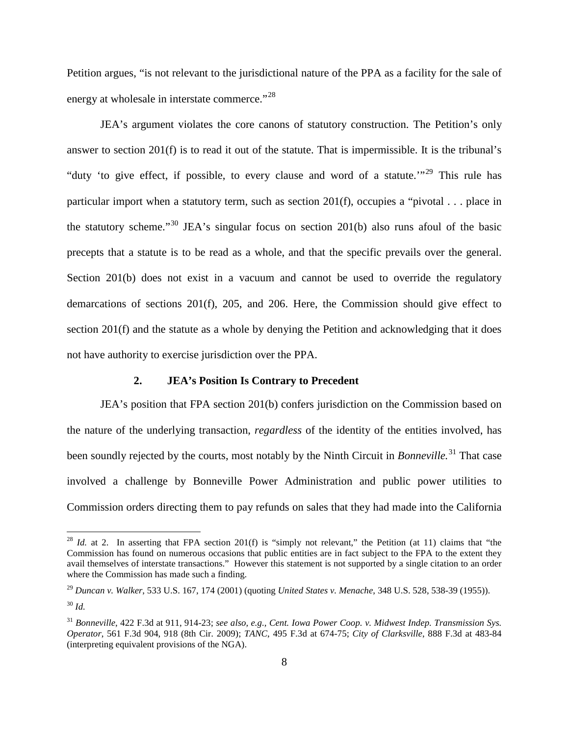Petition argues, "is not relevant to the jurisdictional nature of the PPA as a facility for the sale of energy at wholesale in interstate commerce."<sup>28</sup>

JEA's argument violates the core canons of statutory construction. The Petition's only answer to section 201(f) is to read it out of the statute. That is impermissible. It is the tribunal's "duty 'to give effect, if possible, to every clause and word of a statute."<sup>29</sup> This rule has particular import when a statutory term, such as section 201(f), occupies a "pivotal . . . place in the statutory scheme."<sup>30</sup> JEA's singular focus on section 201(b) also runs afoul of the basic precepts that a statute is to be read as a whole, and that the specific prevails over the general. Section 201(b) does not exist in a vacuum and cannot be used to override the regulatory demarcations of sections 201(f), 205, and 206. Here, the Commission should give effect to section 201(f) and the statute as a whole by denying the Petition and acknowledging that it does not have authority to exercise jurisdiction over the PPA.

#### **2. JEA's Position Is Contrary to Precedent**

JEA's position that FPA section 201(b) confers jurisdiction on the Commission based on the nature of the underlying transaction, *regardless* of the identity of the entities involved, has been soundly rejected by the courts, most notably by the Ninth Circuit in *Bonneville.* <sup>31</sup> That case involved a challenge by Bonneville Power Administration and public power utilities to Commission orders directing them to pay refunds on sales that they had made into the California

<sup>&</sup>lt;sup>28</sup> *Id.* at 2. In asserting that FPA section 201(f) is "simply not relevant," the Petition (at 11) claims that "the Commission has found on numerous occasions that public entities are in fact subject to the FPA to the extent they avail themselves of interstate transactions." However this statement is not supported by a single citation to an order where the Commission has made such a finding.

<sup>29</sup> *Duncan v. Walker*, 533 U.S. 167, 174 (2001) (quoting *United States v. Menache*, 348 U.S. 528, 538-39 (1955)). <sup>30</sup> *Id.*

<sup>31</sup> *Bonneville*, 422 F.3d at 911, 914-23; *see also, e.g., Cent. Iowa Power Coop. v. Midwest Indep. Transmission Sys. Operator*, 561 F.3d 904, 918 (8th Cir. 2009); *TANC*, 495 F.3d at 674-75; *City of Clarksville*, 888 F.3d at 483-84 (interpreting equivalent provisions of the NGA).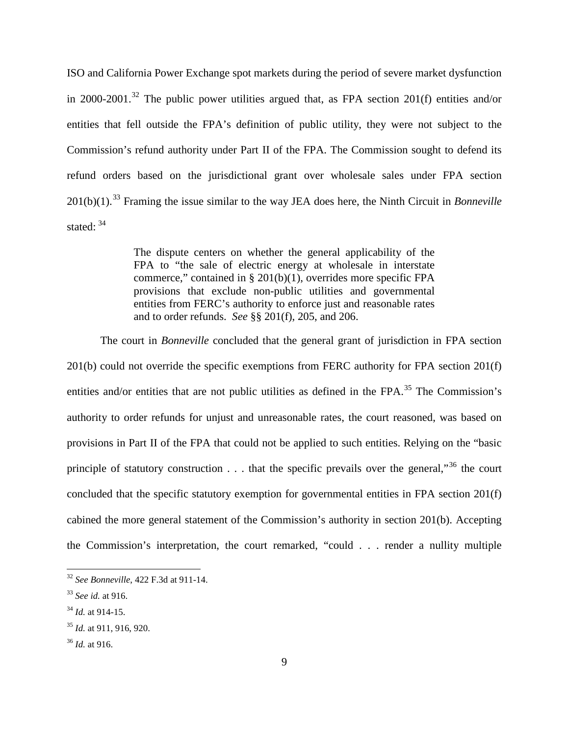ISO and California Power Exchange spot markets during the period of severe market dysfunction in 2000-2001.<sup>32</sup> The public power utilities argued that, as FPA section 201(f) entities and/or entities that fell outside the FPA's definition of public utility, they were not subject to the Commission's refund authority under Part II of the FPA. The Commission sought to defend its refund orders based on the jurisdictional grant over wholesale sales under FPA section 201(b)(1).<sup>33</sup> Framing the issue similar to the way JEA does here, the Ninth Circuit in *Bonneville* stated:  $34$ 

> The dispute centers on whether the general applicability of the FPA to "the sale of electric energy at wholesale in interstate commerce," contained in § 201(b)(1), overrides more specific FPA provisions that exclude non-public utilities and governmental entities from FERC's authority to enforce just and reasonable rates and to order refunds. *See* §§ 201(f), 205, and 206.

The court in *Bonneville* concluded that the general grant of jurisdiction in FPA section 201(b) could not override the specific exemptions from FERC authority for FPA section 201(f) entities and/or entities that are not public utilities as defined in the FPA.<sup>35</sup> The Commission's authority to order refunds for unjust and unreasonable rates, the court reasoned, was based on provisions in Part II of the FPA that could not be applied to such entities. Relying on the "basic principle of statutory construction  $\dots$  that the specific prevails over the general,"<sup>36</sup> the court concluded that the specific statutory exemption for governmental entities in FPA section 201(f) cabined the more general statement of the Commission's authority in section 201(b). Accepting the Commission's interpretation, the court remarked, "could . . . render a nullity multiple

<sup>32</sup> *See Bonneville*, 422 F.3d at 911-14.

<sup>33</sup> *See id.* at 916.

<sup>34</sup> *Id.* at 914-15.

<sup>35</sup> *Id.* at 911, 916, 920.

<sup>36</sup> *Id.* at 916.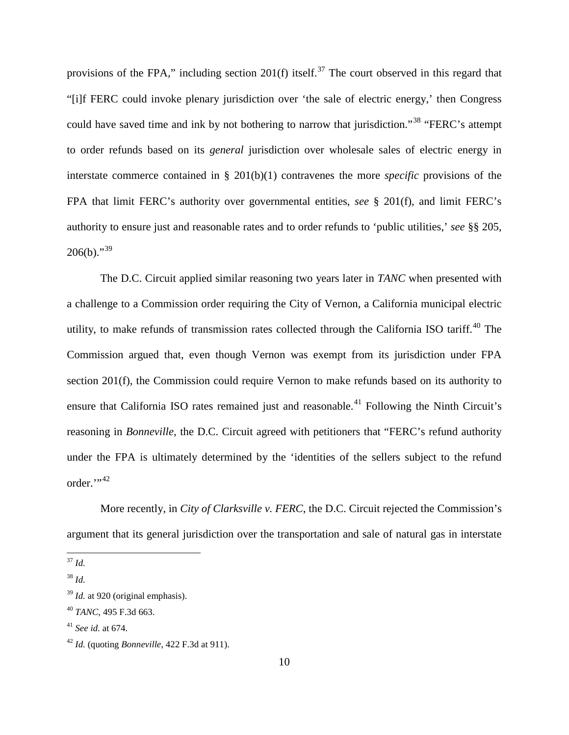provisions of the FPA," including section 201(f) itself.<sup>37</sup> The court observed in this regard that "[i]f FERC could invoke plenary jurisdiction over 'the sale of electric energy,' then Congress could have saved time and ink by not bothering to narrow that jurisdiction."<sup>38</sup> "FERC's attempt to order refunds based on its *general* jurisdiction over wholesale sales of electric energy in interstate commerce contained in § 201(b)(1) contravenes the more *specific* provisions of the FPA that limit FERC's authority over governmental entities, *see* § 201(f), and limit FERC's authority to ensure just and reasonable rates and to order refunds to 'public utilities,' *see* §§ 205,  $206(b)$ ."<sup>39</sup>

The D.C. Circuit applied similar reasoning two years later in *TANC* when presented with a challenge to a Commission order requiring the City of Vernon, a California municipal electric utility, to make refunds of transmission rates collected through the California ISO tariff.<sup>40</sup> The Commission argued that, even though Vernon was exempt from its jurisdiction under FPA section 201(f), the Commission could require Vernon to make refunds based on its authority to ensure that California ISO rates remained just and reasonable.<sup>41</sup> Following the Ninth Circuit's reasoning in *Bonneville*, the D.C. Circuit agreed with petitioners that "FERC's refund authority under the FPA is ultimately determined by the 'identities of the sellers subject to the refund order.",42

More recently, in *City of Clarksville v. FERC*, the D.C. Circuit rejected the Commission's argument that its general jurisdiction over the transportation and sale of natural gas in interstate

37 *Id.*

<sup>38</sup> *Id.*

<sup>39</sup> *Id.* at 920 (original emphasis).

<sup>40</sup> *TANC*, 495 F.3d 663.

<sup>41</sup> *See id.* at 674.

<sup>42</sup> *Id.* (quoting *Bonneville*, 422 F.3d at 911).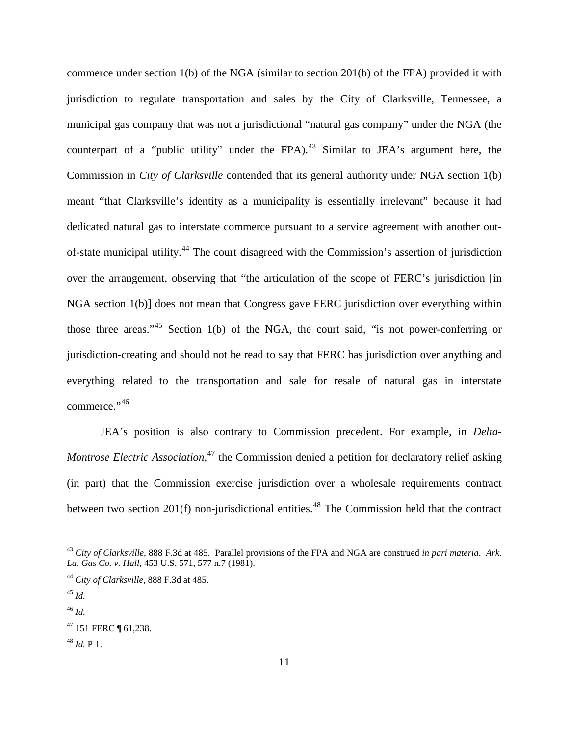commerce under section 1(b) of the NGA (similar to section 201(b) of the FPA) provided it with jurisdiction to regulate transportation and sales by the City of Clarksville, Tennessee, a municipal gas company that was not a jurisdictional "natural gas company" under the NGA (the counterpart of a "public utility" under the FPA).<sup>43</sup> Similar to JEA's argument here, the Commission in *City of Clarksville* contended that its general authority under NGA section 1(b) meant "that Clarksville's identity as a municipality is essentially irrelevant" because it had dedicated natural gas to interstate commerce pursuant to a service agreement with another outof-state municipal utility.<sup>44</sup> The court disagreed with the Commission's assertion of jurisdiction over the arrangement, observing that "the articulation of the scope of FERC's jurisdiction [in NGA section 1(b)] does not mean that Congress gave FERC jurisdiction over everything within those three areas."<sup>45</sup> Section 1(b) of the NGA, the court said, "is not power-conferring or jurisdiction-creating and should not be read to say that FERC has jurisdiction over anything and everything related to the transportation and sale for resale of natural gas in interstate commerce."<sup>46</sup>

JEA's position is also contrary to Commission precedent. For example, in *Delta-Montrose Electric Association*,<sup>47</sup> the Commission denied a petition for declaratory relief asking (in part) that the Commission exercise jurisdiction over a wholesale requirements contract between two section  $201(f)$  non-jurisdictional entities.<sup>48</sup> The Commission held that the contract

<sup>43</sup> *City of Clarksville,* 888 F.3d at 485. Parallel provisions of the FPA and NGA are construed *in pari materia*. *Ark. La. Gas Co. v. Hall*, 453 U.S. 571, 577 n.7 (1981).

<sup>44</sup> *City of Clarksville,* 888 F.3d at 485.

<sup>45</sup> *Id.*

<sup>46</sup> *Id.*

<sup>47 151</sup> FERC 161,238.

 $48$  *Id.* P 1.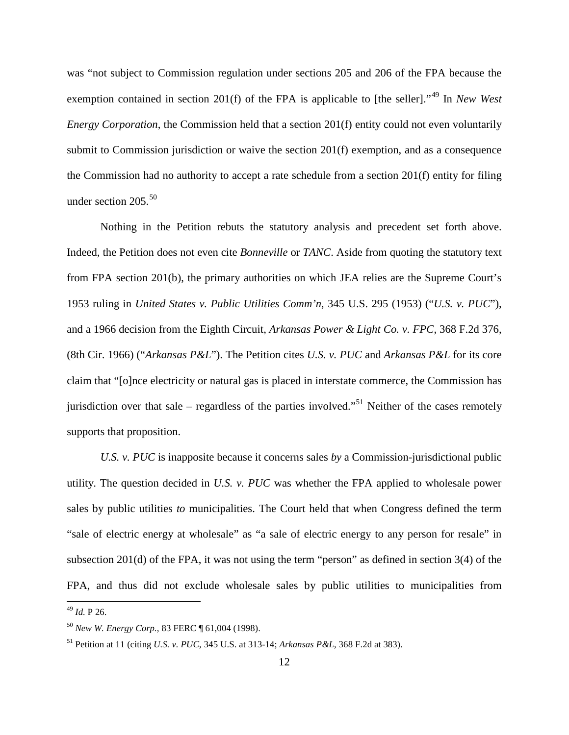was "not subject to Commission regulation under sections 205 and 206 of the FPA because the exemption contained in section 201(f) of the FPA is applicable to [the seller]."<sup>49</sup> In *New West Energy Corporation*, the Commission held that a section 201(f) entity could not even voluntarily submit to Commission jurisdiction or waive the section 201(f) exemption, and as a consequence the Commission had no authority to accept a rate schedule from a section 201(f) entity for filing under section  $205$ <sup>50</sup>

Nothing in the Petition rebuts the statutory analysis and precedent set forth above. Indeed, the Petition does not even cite *Bonneville* or *TANC*. Aside from quoting the statutory text from FPA section 201(b), the primary authorities on which JEA relies are the Supreme Court's 1953 ruling in *United States v. Public Utilities Comm'n*, 345 U.S. 295 (1953) ("*U.S. v. PUC*"), and a 1966 decision from the Eighth Circuit, *Arkansas Power & Light Co. v. FPC*, 368 F.2d 376, (8th Cir. 1966) ("*Arkansas P&L*"). The Petition cites *U.S. v. PUC* and *Arkansas P&L* for its core claim that "[o]nce electricity or natural gas is placed in interstate commerce, the Commission has jurisdiction over that sale – regardless of the parties involved."<sup>51</sup> Neither of the cases remotely supports that proposition.

*U.S. v. PUC* is inapposite because it concerns sales *by* a Commission-jurisdictional public utility. The question decided in *U.S. v. PUC* was whether the FPA applied to wholesale power sales by public utilities *to* municipalities. The Court held that when Congress defined the term "sale of electric energy at wholesale" as "a sale of electric energy to any person for resale" in subsection 201(d) of the FPA, it was not using the term "person" as defined in section 3(4) of the FPA, and thus did not exclude wholesale sales by public utilities to municipalities from

<sup>49</sup> *Id.* P 26.

<sup>50</sup> *New W. Energy Corp.*, 83 FERC ¶ 61,004 (1998).

<sup>51</sup> Petition at 11 (citing *U.S. v. PUC*, 345 U.S. at 313-14; *Arkansas P&L*, 368 F.2d at 383).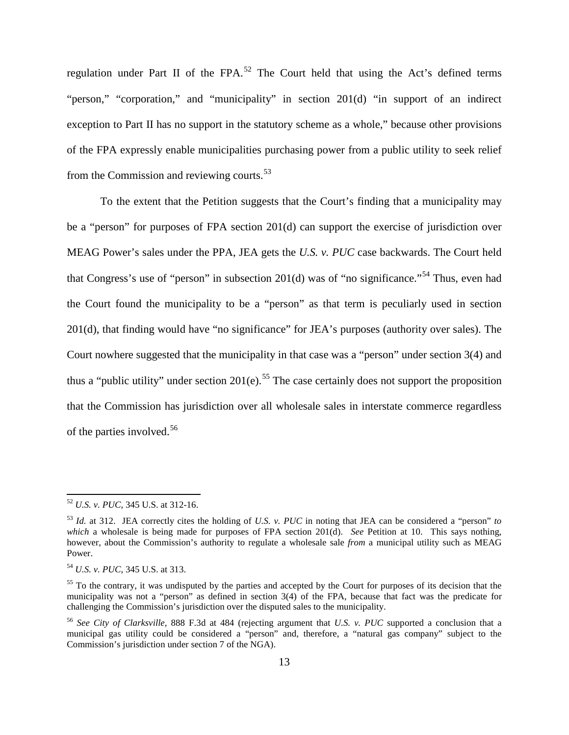regulation under Part II of the FPA.<sup>52</sup> The Court held that using the Act's defined terms "person," "corporation," and "municipality" in section 201(d) "in support of an indirect exception to Part II has no support in the statutory scheme as a whole," because other provisions of the FPA expressly enable municipalities purchasing power from a public utility to seek relief from the Commission and reviewing courts.<sup>53</sup>

To the extent that the Petition suggests that the Court's finding that a municipality may be a "person" for purposes of FPA section 201(d) can support the exercise of jurisdiction over MEAG Power's sales under the PPA, JEA gets the *U.S. v. PUC* case backwards. The Court held that Congress's use of "person" in subsection 201(d) was of "no significance."<sup>54</sup> Thus, even had the Court found the municipality to be a "person" as that term is peculiarly used in section 201(d), that finding would have "no significance" for JEA's purposes (authority over sales). The Court nowhere suggested that the municipality in that case was a "person" under section 3(4) and thus a "public utility" under section  $201(e)$ .<sup>55</sup> The case certainly does not support the proposition that the Commission has jurisdiction over all wholesale sales in interstate commerce regardless of the parties involved.<sup>56</sup>

<sup>52</sup> *U.S. v. PUC*, 345 U.S. at 312-16.

<sup>53</sup> *Id.* at 312. JEA correctly cites the holding of *U.S. v. PUC* in noting that JEA can be considered a "person" *to which* a wholesale is being made for purposes of FPA section 201(d). *See* Petition at 10. This says nothing, however, about the Commission's authority to regulate a wholesale sale *from* a municipal utility such as MEAG Power.

<sup>54</sup> *U.S. v. PUC*, 345 U.S. at 313.

<sup>&</sup>lt;sup>55</sup> To the contrary, it was undisputed by the parties and accepted by the Court for purposes of its decision that the municipality was not a "person" as defined in section 3(4) of the FPA, because that fact was the predicate for challenging the Commission's jurisdiction over the disputed sales to the municipality.

<sup>56</sup> *See City of Clarksville*, 888 F.3d at 484 (rejecting argument that *U.S. v. PUC* supported a conclusion that a municipal gas utility could be considered a "person" and, therefore, a "natural gas company" subject to the Commission's jurisdiction under section 7 of the NGA).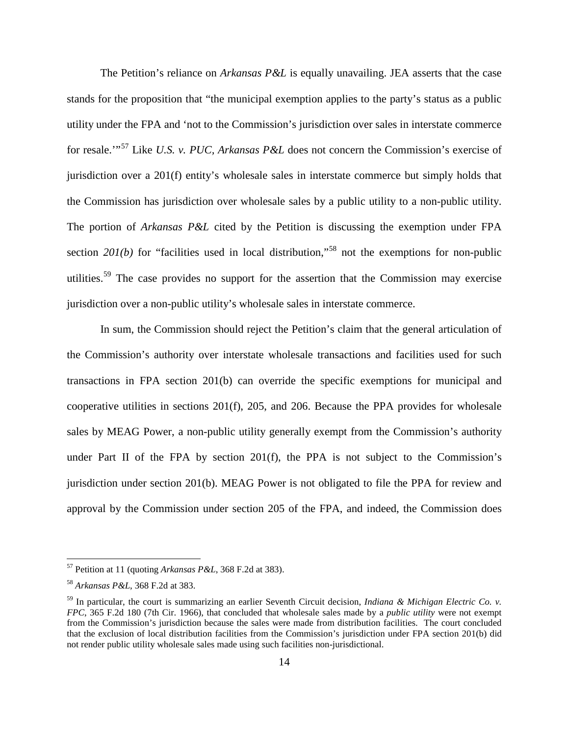The Petition's reliance on *Arkansas P&L* is equally unavailing. JEA asserts that the case stands for the proposition that "the municipal exemption applies to the party's status as a public utility under the FPA and 'not to the Commission's jurisdiction over sales in interstate commerce for resale.'"<sup>57</sup> Like *U.S. v. PUC, Arkansas P&L* does not concern the Commission's exercise of jurisdiction over a 201(f) entity's wholesale sales in interstate commerce but simply holds that the Commission has jurisdiction over wholesale sales by a public utility to a non-public utility. The portion of *Arkansas P&L* cited by the Petition is discussing the exemption under FPA section  $20I(b)$  for "facilities used in local distribution,"<sup>58</sup> not the exemptions for non-public utilities.<sup>59</sup> The case provides no support for the assertion that the Commission may exercise jurisdiction over a non-public utility's wholesale sales in interstate commerce.

In sum, the Commission should reject the Petition's claim that the general articulation of the Commission's authority over interstate wholesale transactions and facilities used for such transactions in FPA section 201(b) can override the specific exemptions for municipal and cooperative utilities in sections 201(f), 205, and 206. Because the PPA provides for wholesale sales by MEAG Power, a non-public utility generally exempt from the Commission's authority under Part II of the FPA by section 201(f), the PPA is not subject to the Commission's jurisdiction under section 201(b). MEAG Power is not obligated to file the PPA for review and approval by the Commission under section 205 of the FPA, and indeed, the Commission does

<sup>57</sup> Petition at 11 (quoting *Arkansas P&L*, 368 F.2d at 383).

<sup>58</sup> *Arkansas P&L*, 368 F.2d at 383.

<sup>59</sup> In particular, the court is summarizing an earlier Seventh Circuit decision, *Indiana & Michigan Electric Co. v. FPC*, 365 F.2d 180 (7th Cir. 1966), that concluded that wholesale sales made by a *public utility* were not exempt from the Commission's jurisdiction because the sales were made from distribution facilities. The court concluded that the exclusion of local distribution facilities from the Commission's jurisdiction under FPA section 201(b) did not render public utility wholesale sales made using such facilities non-jurisdictional.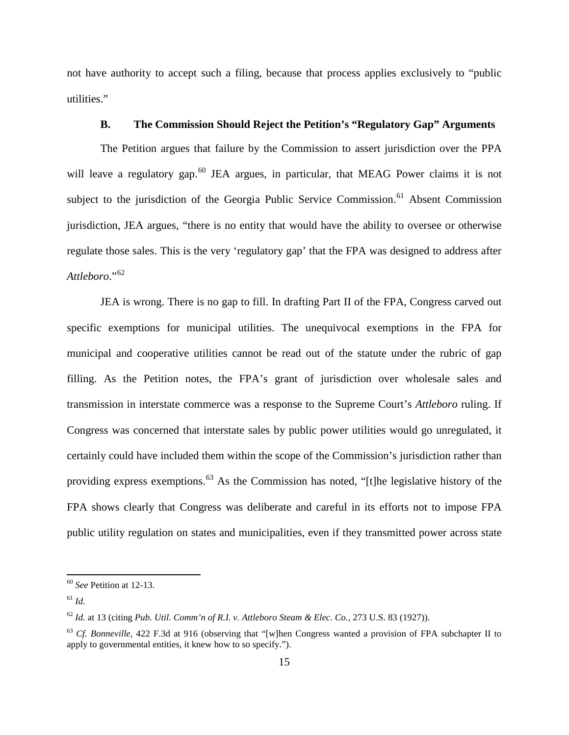not have authority to accept such a filing, because that process applies exclusively to "public utilities."

### **B. The Commission Should Reject the Petition's "Regulatory Gap" Arguments**

The Petition argues that failure by the Commission to assert jurisdiction over the PPA will leave a regulatory gap.<sup>60</sup> JEA argues, in particular, that MEAG Power claims it is not subject to the jurisdiction of the Georgia Public Service Commission.<sup>61</sup> Absent Commission jurisdiction, JEA argues, "there is no entity that would have the ability to oversee or otherwise regulate those sales. This is the very 'regulatory gap' that the FPA was designed to address after *Attleboro*."<sup>62</sup>

JEA is wrong. There is no gap to fill. In drafting Part II of the FPA, Congress carved out specific exemptions for municipal utilities. The unequivocal exemptions in the FPA for municipal and cooperative utilities cannot be read out of the statute under the rubric of gap filling. As the Petition notes, the FPA's grant of jurisdiction over wholesale sales and transmission in interstate commerce was a response to the Supreme Court's *Attleboro* ruling. If Congress was concerned that interstate sales by public power utilities would go unregulated, it certainly could have included them within the scope of the Commission's jurisdiction rather than providing express exemptions.<sup>63</sup> As the Commission has noted, "[t]he legislative history of the FPA shows clearly that Congress was deliberate and careful in its efforts not to impose FPA public utility regulation on states and municipalities, even if they transmitted power across state

<sup>60</sup> *See* Petition at 12-13.

<sup>61</sup> *Id.*

<sup>62</sup> *Id.* at 13 (citing *Pub. Util. Comm'n of R.I. v. Attleboro Steam & Elec. Co.*, 273 U.S. 83 (1927)).

<sup>&</sup>lt;sup>63</sup> *Cf. Bonneville*, 422 F.3d at 916 (observing that "[w]hen Congress wanted a provision of FPA subchapter II to apply to governmental entities, it knew how to so specify.").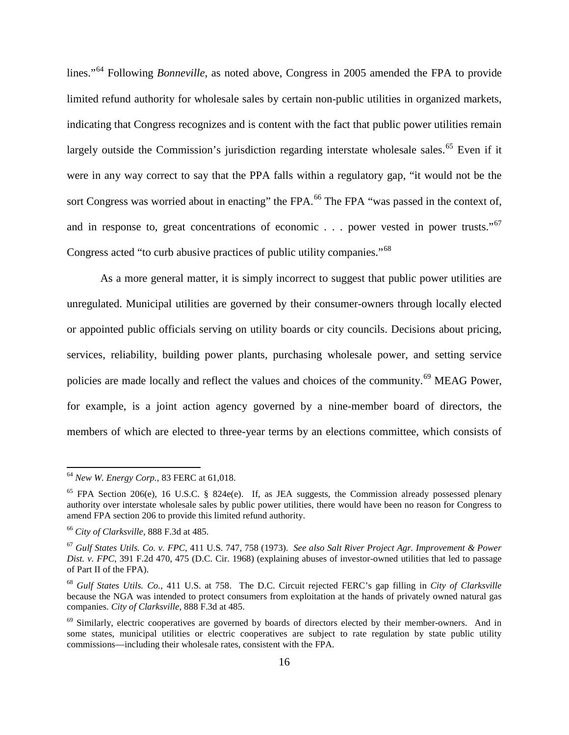lines."<sup>64</sup> Following *Bonneville*, as noted above, Congress in 2005 amended the FPA to provide limited refund authority for wholesale sales by certain non-public utilities in organized markets, indicating that Congress recognizes and is content with the fact that public power utilities remain largely outside the Commission's jurisdiction regarding interstate wholesale sales.<sup>65</sup> Even if it were in any way correct to say that the PPA falls within a regulatory gap, "it would not be the sort Congress was worried about in enacting" the FPA.<sup>66</sup> The FPA "was passed in the context of, and in response to, great concentrations of economic . . . power vested in power trusts."<sup>67</sup> Congress acted "to curb abusive practices of public utility companies."<sup>68</sup>

As a more general matter, it is simply incorrect to suggest that public power utilities are unregulated. Municipal utilities are governed by their consumer-owners through locally elected or appointed public officials serving on utility boards or city councils. Decisions about pricing, services, reliability, building power plants, purchasing wholesale power, and setting service policies are made locally and reflect the values and choices of the community.<sup>69</sup> MEAG Power, for example, is a joint action agency governed by a nine-member board of directors, the members of which are elected to three-year terms by an elections committee, which consists of

<sup>64</sup> *New W. Energy Corp.*, 83 FERC at 61,018.

<sup>65</sup> FPA Section 206(e), 16 U.S.C. § 824e(e). If, as JEA suggests, the Commission already possessed plenary authority over interstate wholesale sales by public power utilities, there would have been no reason for Congress to amend FPA section 206 to provide this limited refund authority.

<sup>66</sup> *City of Clarksville*, 888 F.3d at 485.

<sup>67</sup> *Gulf States Utils. Co. v. FPC*, 411 U.S. 747, 758 (1973). *See also Salt River Project Agr. Improvement & Power Dist. v. FPC*, 391 F.2d 470, 475 (D.C. Cir. 1968) (explaining abuses of investor-owned utilities that led to passage of Part II of the FPA).

<sup>68</sup> *Gulf States Utils. Co.*, 411 U.S. at 758. The D.C. Circuit rejected FERC's gap filling in *City of Clarksville*  because the NGA was intended to protect consumers from exploitation at the hands of privately owned natural gas companies. *City of Clarksville*, 888 F.3d at 485.

<sup>&</sup>lt;sup>69</sup> Similarly, electric cooperatives are governed by boards of directors elected by their member-owners. And in some states, municipal utilities or electric cooperatives are subject to rate regulation by state public utility commissions—including their wholesale rates, consistent with the FPA.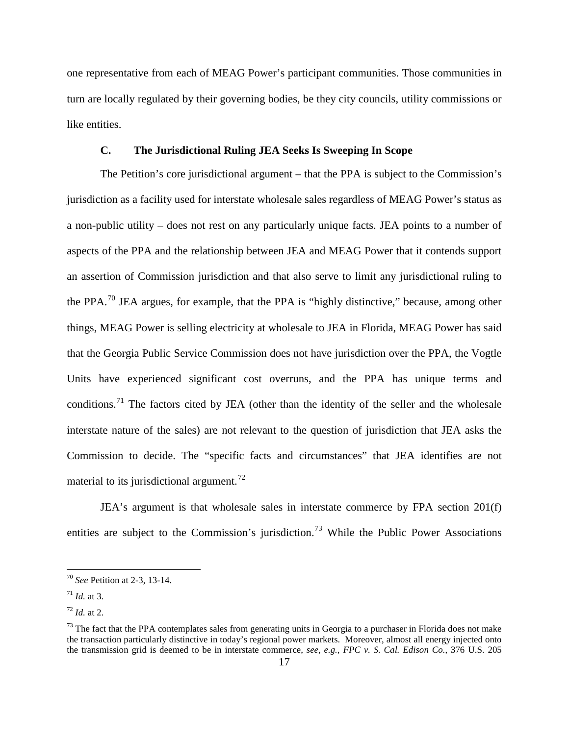one representative from each of MEAG Power's participant communities. Those communities in turn are locally regulated by their governing bodies, be they city councils, utility commissions or like entities.

## **C. The Jurisdictional Ruling JEA Seeks Is Sweeping In Scope**

The Petition's core jurisdictional argument – that the PPA is subject to the Commission's jurisdiction as a facility used for interstate wholesale sales regardless of MEAG Power's status as a non-public utility – does not rest on any particularly unique facts. JEA points to a number of aspects of the PPA and the relationship between JEA and MEAG Power that it contends support an assertion of Commission jurisdiction and that also serve to limit any jurisdictional ruling to the PPA.<sup>70</sup> JEA argues, for example, that the PPA is "highly distinctive," because, among other things, MEAG Power is selling electricity at wholesale to JEA in Florida, MEAG Power has said that the Georgia Public Service Commission does not have jurisdiction over the PPA, the Vogtle Units have experienced significant cost overruns, and the PPA has unique terms and conditions.<sup>71</sup> The factors cited by JEA (other than the identity of the seller and the wholesale interstate nature of the sales) are not relevant to the question of jurisdiction that JEA asks the Commission to decide. The "specific facts and circumstances" that JEA identifies are not material to its jurisdictional argument.<sup>72</sup>

JEA's argument is that wholesale sales in interstate commerce by FPA section 201(f) entities are subject to the Commission's jurisdiction.<sup>73</sup> While the Public Power Associations

<sup>70</sup> *See* Petition at 2-3, 13-14.

 $17^1$  *Id.* at 3.

 $^{72}$  *Id.* at 2.

 $73$  The fact that the PPA contemplates sales from generating units in Georgia to a purchaser in Florida does not make the transaction particularly distinctive in today's regional power markets. Moreover, almost all energy injected onto the transmission grid is deemed to be in interstate commerce, *see, e.g., FPC v. S. Cal. Edison Co.*, 376 U.S. 205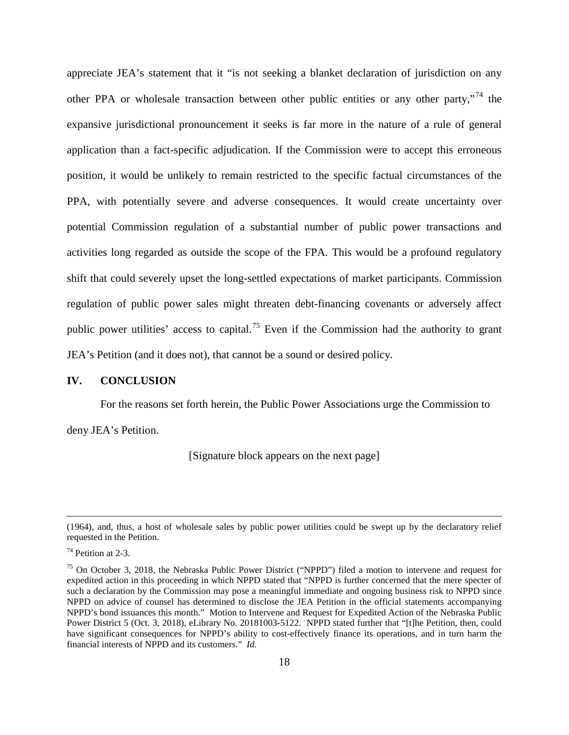appreciate JEA's statement that it "is not seeking a blanket declaration of jurisdiction on any other PPA or wholesale transaction between other public entities or any other party,"<sup>74</sup> the expansive jurisdictional pronouncement it seeks is far more in the nature of a rule of general application than a fact-specific adjudication. If the Commission were to accept this erroneous position, it would be unlikely to remain restricted to the specific factual circumstances of the PPA, with potentially severe and adverse consequences. It would create uncertainty over potential Commission regulation of a substantial number of public power transactions and activities long regarded as outside the scope of the FPA. This would be a profound regulatory shift that could severely upset the long-settled expectations of market participants. Commission regulation of public power sales might threaten debt-financing covenants or adversely affect public power utilities' access to capital.<sup>75</sup> Even if the Commission had the authority to grant JEA's Petition (and it does not), that cannot be a sound or desired policy.

#### **IV. CONCLUSION**

For the reasons set forth herein, the Public Power Associations urge the Commission to

deny JEA's Petition.

[Signature block appears on the next page]

l

<sup>(1964),</sup> and, thus, a host of wholesale sales by public power utilities could be swept up by the declaratory relief requested in the Petition.

 $74$  Petition at 2-3.

<sup>75</sup> On October 3, 2018, the Nebraska Public Power District ("NPPD") filed a motion to intervene and request for expedited action in this proceeding in which NPPD stated that "NPPD is further concerned that the mere specter of such a declaration by the Commission may pose a meaningful immediate and ongoing business risk to NPPD since NPPD on advice of counsel has determined to disclose the JEA Petition in the official statements accompanying NPPD's bond issuances this month." Motion to Intervene and Request for Expedited Action of the Nebraska Public Power District 5 (Oct. 3, 2018), eLibrary No. 20181003-5122. NPPD stated further that "[t]he Petition, then, could have significant consequences for NPPD's ability to cost-effectively finance its operations, and in turn harm the financial interests of NPPD and its customers." *Id.*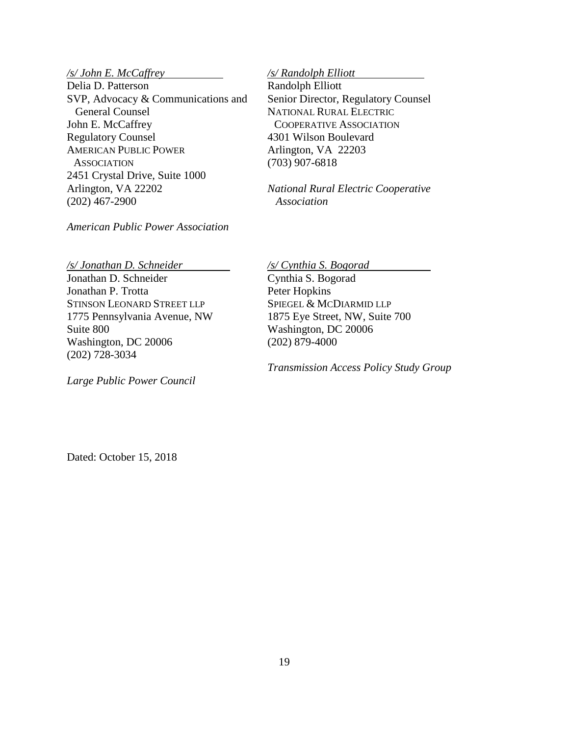# */s/ John E. McCaffrey*

Delia D. Patterson SVP, Advocacy & Communications and General Counsel John E. McCaffrey Regulatory Counsel AMERICAN PUBLIC POWER **ASSOCIATION** 2451 Crystal Drive, Suite 1000 Arlington, VA 22202 (202) 467-2900

### *American Public Power Association*

#### */s/ Randolph Elliott*

Randolph Elliott Senior Director, Regulatory Counsel NATIONAL RURAL ELECTRIC COOPERATIVE ASSOCIATION 4301 Wilson Boulevard Arlington, VA 22203 (703) 907-6818

*National Rural Electric Cooperative Association*

*/s/ Jonathan D. Schneider* 

Jonathan D. Schneider Jonathan P. Trotta STINSON LEONARD STREET LLP 1775 Pennsylvania Avenue, NW Suite 800 Washington, DC 20006 (202) 728-3034

*Large Public Power Council*

*/s/ Cynthia S. Bogorad* 

Cynthia S. Bogorad Peter Hopkins SPIEGEL & MCDIARMID LLP 1875 Eye Street, NW, Suite 700 Washington, DC 20006 (202) 879-4000

*Transmission Access Policy Study Group*

Dated: October 15, 2018